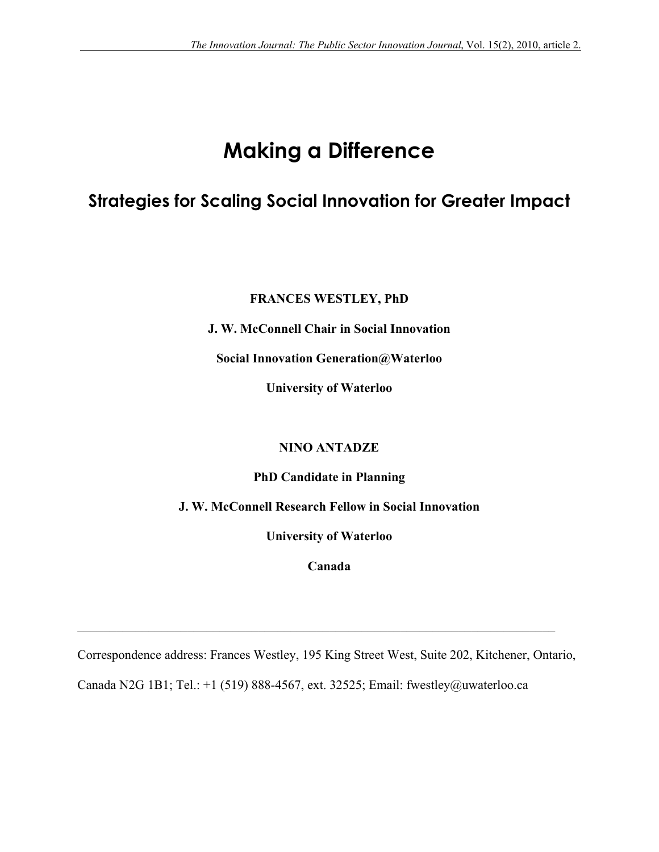# **Making a Difference**

# **Strategies for Scaling Social Innovation for Greater Impact**

**FRANCES WESTLEY, PhD** 

**J. W. McConnell Chair in Social Innovation** 

**Social Innovation Generation@Waterloo** 

**University of Waterloo** 

# **NINO ANTADZE**

**PhD Candidate in Planning** 

**J. W. McConnell Research Fellow in Social Innovation** 

**University of Waterloo** 

**Canada** 

Correspondence address: Frances Westley, 195 King Street West, Suite 202, Kitchener, Ontario,

 $\mathcal{L}_\text{max}$  , and the contribution of the contribution of the contribution of the contribution of the contribution of the contribution of the contribution of the contribution of the contribution of the contribution of t

Canada N2G 1B1; Tel.: +1 (519) 888-4567, ext. 32525; Email: fwestley@uwaterloo.ca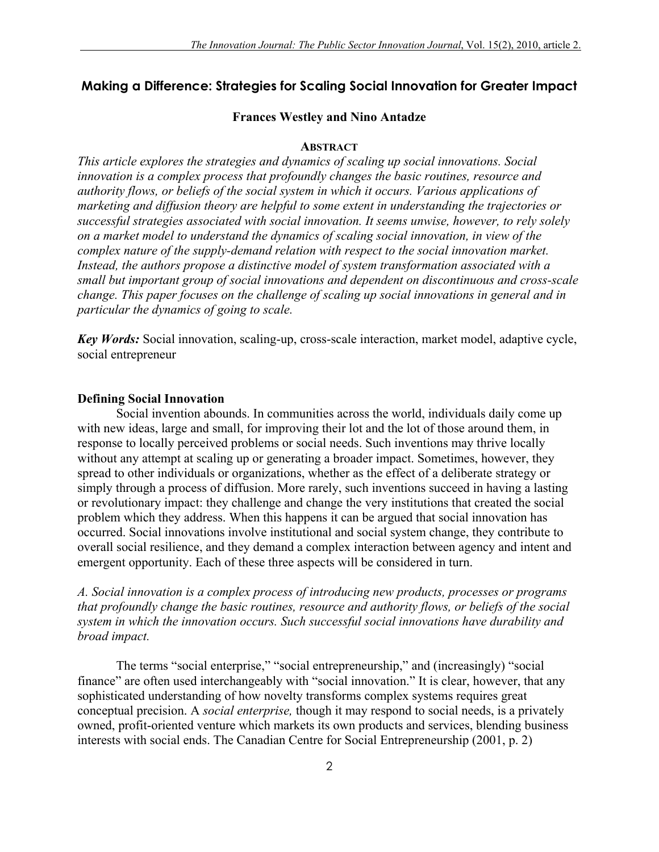# **Making a Difference: Strategies for Scaling Social Innovation for Greater Impact**

#### **Frances Westley and Nino Antadze**

#### **ABSTRACT**

*This article explores the strategies and dynamics of scaling up social innovations. Social innovation is a complex process that profoundly changes the basic routines, resource and authority flows, or beliefs of the social system in which it occurs. Various applications of marketing and diffusion theory are helpful to some extent in understanding the trajectories or successful strategies associated with social innovation. It seems unwise, however, to rely solely on a market model to understand the dynamics of scaling social innovation, in view of the complex nature of the supply-demand relation with respect to the social innovation market. Instead, the authors propose a distinctive model of system transformation associated with a small but important group of social innovations and dependent on discontinuous and cross-scale change. This paper focuses on the challenge of scaling up social innovations in general and in particular the dynamics of going to scale.* 

*Key Words:* Social innovation, scaling-up, cross-scale interaction, market model, adaptive cycle, social entrepreneur

#### **Defining Social Innovation**

Social invention abounds. In communities across the world, individuals daily come up with new ideas, large and small, for improving their lot and the lot of those around them, in response to locally perceived problems or social needs. Such inventions may thrive locally without any attempt at scaling up or generating a broader impact. Sometimes, however, they spread to other individuals or organizations, whether as the effect of a deliberate strategy or simply through a process of diffusion. More rarely, such inventions succeed in having a lasting or revolutionary impact: they challenge and change the very institutions that created the social problem which they address. When this happens it can be argued that social innovation has occurred. Social innovations involve institutional and social system change, they contribute to overall social resilience, and they demand a complex interaction between agency and intent and emergent opportunity. Each of these three aspects will be considered in turn.

*A. Social innovation is a complex process of introducing new products, processes or programs that profoundly change the basic routines, resource and authority flows, or beliefs of the social system in which the innovation occurs. Such successful social innovations have durability and broad impact.*

The terms "social enterprise," "social entrepreneurship," and (increasingly) "social finance" are often used interchangeably with "social innovation." It is clear, however, that any sophisticated understanding of how novelty transforms complex systems requires great conceptual precision. A *social enterprise,* though it may respond to social needs, is a privately owned, profit-oriented venture which markets its own products and services, blending business interests with social ends. The Canadian Centre for Social Entrepreneurship (2001, p. 2)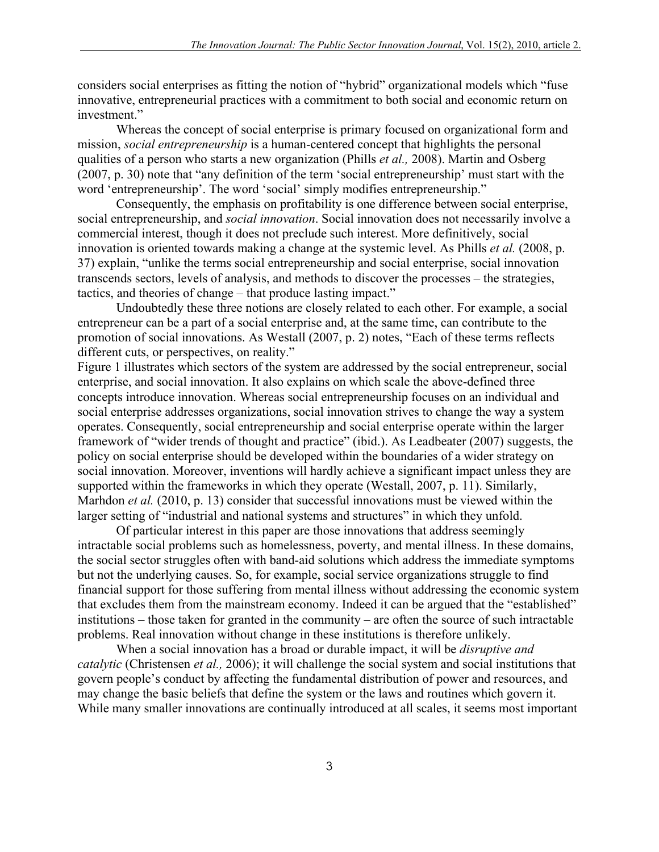considers social enterprises as fitting the notion of "hybrid" organizational models which "fuse innovative, entrepreneurial practices with a commitment to both social and economic return on investment."

Whereas the concept of social enterprise is primary focused on organizational form and mission, *social entrepreneurship* is a human-centered concept that highlights the personal qualities of a person who starts a new organization (Phills *et al.,* 2008). Martin and Osberg (2007, p. 30) note that "any definition of the term 'social entrepreneurship' must start with the word 'entrepreneurship'. The word 'social' simply modifies entrepreneurship."

Consequently, the emphasis on profitability is one difference between social enterprise, social entrepreneurship, and *social innovation*. Social innovation does not necessarily involve a commercial interest, though it does not preclude such interest. More definitively, social innovation is oriented towards making a change at the systemic level. As Phills *et al.* (2008, p. 37) explain, "unlike the terms social entrepreneurship and social enterprise, social innovation transcends sectors, levels of analysis, and methods to discover the processes – the strategies, tactics, and theories of change – that produce lasting impact."

Undoubtedly these three notions are closely related to each other. For example, a social entrepreneur can be a part of a social enterprise and, at the same time, can contribute to the promotion of social innovations. As Westall (2007, p. 2) notes, "Each of these terms reflects different cuts, or perspectives, on reality."

Figure 1 illustrates which sectors of the system are addressed by the social entrepreneur, social enterprise, and social innovation. It also explains on which scale the above-defined three concepts introduce innovation. Whereas social entrepreneurship focuses on an individual and social enterprise addresses organizations, social innovation strives to change the way a system operates. Consequently, social entrepreneurship and social enterprise operate within the larger framework of "wider trends of thought and practice" (ibid.). As Leadbeater (2007) suggests, the policy on social enterprise should be developed within the boundaries of a wider strategy on social innovation. Moreover, inventions will hardly achieve a significant impact unless they are supported within the frameworks in which they operate (Westall, 2007, p. 11). Similarly, Marhdon *et al.* (2010, p. 13) consider that successful innovations must be viewed within the larger setting of "industrial and national systems and structures" in which they unfold.

Of particular interest in this paper are those innovations that address seemingly intractable social problems such as homelessness, poverty, and mental illness. In these domains, the social sector struggles often with band-aid solutions which address the immediate symptoms but not the underlying causes. So, for example, social service organizations struggle to find financial support for those suffering from mental illness without addressing the economic system that excludes them from the mainstream economy. Indeed it can be argued that the "established" institutions – those taken for granted in the community – are often the source of such intractable problems. Real innovation without change in these institutions is therefore unlikely.

When a social innovation has a broad or durable impact, it will be *disruptive and catalytic* (Christensen *et al.,* 2006); it will challenge the social system and social institutions that govern people's conduct by affecting the fundamental distribution of power and resources, and may change the basic beliefs that define the system or the laws and routines which govern it. While many smaller innovations are continually introduced at all scales, it seems most important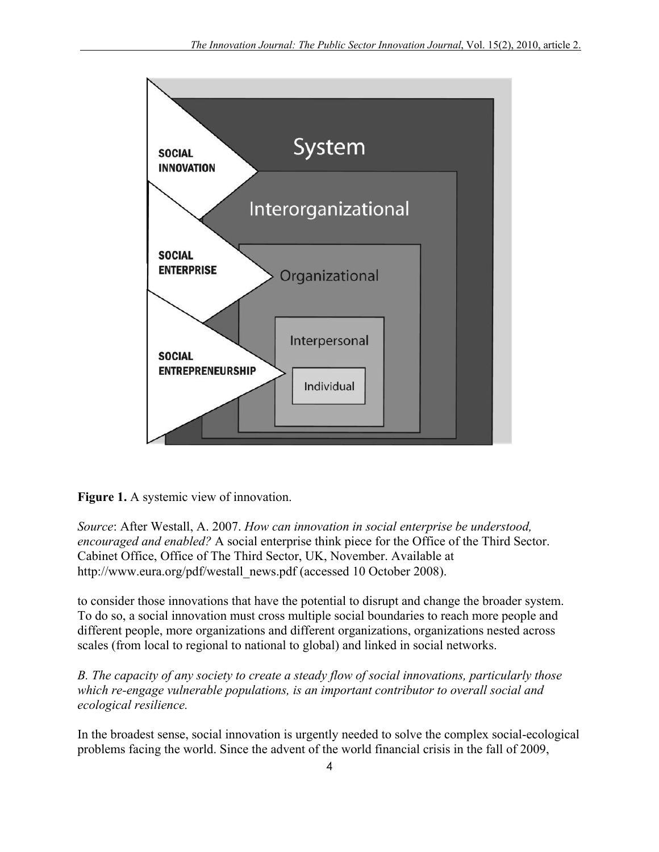

**Figure 1.** A systemic view of innovation.

*Source*: After Westall, A. 2007. *How can innovation in social enterprise be understood, encouraged and enabled?* A social enterprise think piece for the Office of the Third Sector. Cabinet Office, Office of The Third Sector, UK, November. Available at http://www.eura.org/pdf/westall\_news.pdf (accessed 10 October 2008).

to consider those innovations that have the potential to disrupt and change the broader system. To do so, a social innovation must cross multiple social boundaries to reach more people and different people, more organizations and different organizations, organizations nested across scales (from local to regional to national to global) and linked in social networks.

*B. The capacity of any society to create a steady flow of social innovations, particularly those which re-engage vulnerable populations, is an important contributor to overall social and ecological resilience.*

In the broadest sense, social innovation is urgently needed to solve the complex social-ecological problems facing the world. Since the advent of the world financial crisis in the fall of 2009,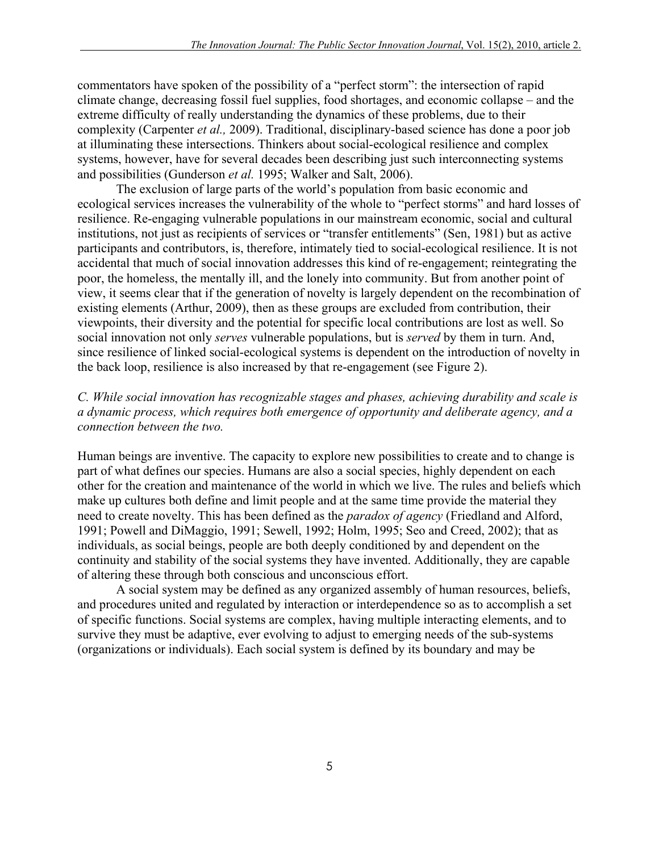commentators have spoken of the possibility of a "perfect storm": the intersection of rapid climate change, decreasing fossil fuel supplies, food shortages, and economic collapse – and the extreme difficulty of really understanding the dynamics of these problems, due to their complexity (Carpenter *et al.,* 2009). Traditional, disciplinary-based science has done a poor job at illuminating these intersections. Thinkers about social-ecological resilience and complex systems, however, have for several decades been describing just such interconnecting systems and possibilities (Gunderson *et al.* 1995; Walker and Salt, 2006).

The exclusion of large parts of the world's population from basic economic and ecological services increases the vulnerability of the whole to "perfect storms" and hard losses of resilience. Re-engaging vulnerable populations in our mainstream economic, social and cultural institutions, not just as recipients of services or "transfer entitlements" (Sen, 1981) but as active participants and contributors, is, therefore, intimately tied to social-ecological resilience. It is not accidental that much of social innovation addresses this kind of re-engagement; reintegrating the poor, the homeless, the mentally ill, and the lonely into community. But from another point of view, it seems clear that if the generation of novelty is largely dependent on the recombination of existing elements (Arthur, 2009), then as these groups are excluded from contribution, their viewpoints, their diversity and the potential for specific local contributions are lost as well. So social innovation not only *serves* vulnerable populations, but is *served* by them in turn. And, since resilience of linked social-ecological systems is dependent on the introduction of novelty in the back loop, resilience is also increased by that re-engagement (see Figure 2).

# *C. While social innovation has recognizable stages and phases, achieving durability and scale is a dynamic process, which requires both emergence of opportunity and deliberate agency, and a connection between the two.*

Human beings are inventive. The capacity to explore new possibilities to create and to change is part of what defines our species. Humans are also a social species, highly dependent on each other for the creation and maintenance of the world in which we live. The rules and beliefs which make up cultures both define and limit people and at the same time provide the material they need to create novelty. This has been defined as the *paradox of agency* (Friedland and Alford, 1991; Powell and DiMaggio, 1991; Sewell, 1992; Holm, 1995; Seo and Creed, 2002); that as individuals, as social beings, people are both deeply conditioned by and dependent on the continuity and stability of the social systems they have invented. Additionally, they are capable of altering these through both conscious and unconscious effort.

A social system may be defined as any organized assembly of human resources, beliefs, and procedures united and regulated by interaction or interdependence so as to accomplish a set of specific functions. Social systems are complex, having multiple interacting elements, and to survive they must be adaptive, ever evolving to adjust to emerging needs of the sub-systems (organizations or individuals). Each social system is defined by its boundary and may be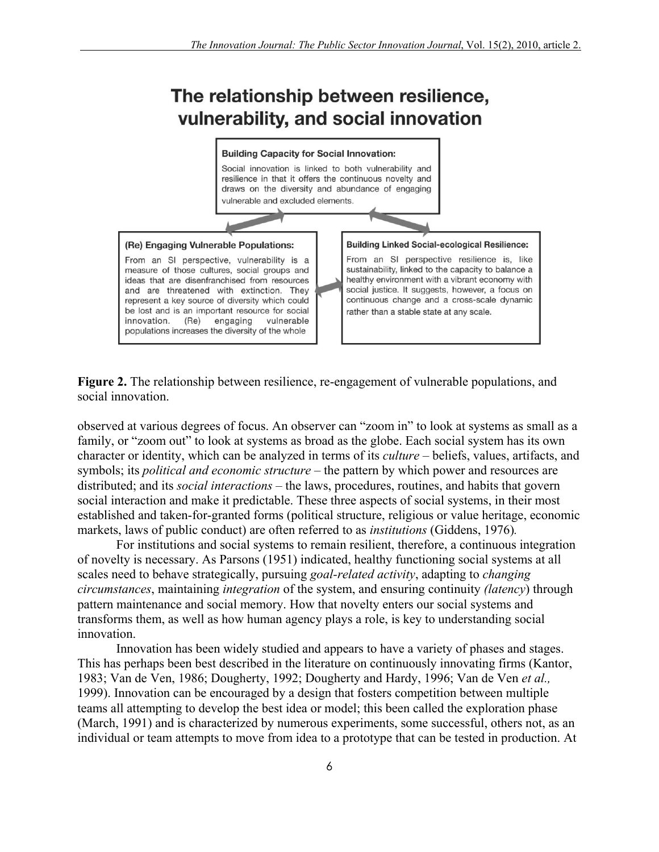

**Figure 2.** The relationship between resilience, re-engagement of vulnerable populations, and social innovation.

observed at various degrees of focus. An observer can "zoom in" to look at systems as small as a family, or "zoom out" to look at systems as broad as the globe. Each social system has its own character or identity, which can be analyzed in terms of its *culture* – beliefs, values, artifacts, and symbols; its *political and economic structure* – the pattern by which power and resources are distributed; and its *social interactions* – the laws, procedures, routines, and habits that govern social interaction and make it predictable. These three aspects of social systems, in their most established and taken-for-granted forms (political structure, religious or value heritage, economic markets, laws of public conduct) are often referred to as *institutions* (Giddens, 1976)*.* 

For institutions and social systems to remain resilient, therefore, a continuous integration of novelty is necessary. As Parsons (1951) indicated, healthy functioning social systems at all scales need to behave strategically, pursuing *goal-related activity*, adapting to *changing circumstances*, maintaining *integration* of the system, and ensuring continuity *(latency*) through pattern maintenance and social memory. How that novelty enters our social systems and transforms them, as well as how human agency plays a role, is key to understanding social innovation.

Innovation has been widely studied and appears to have a variety of phases and stages. This has perhaps been best described in the literature on continuously innovating firms (Kantor, 1983; Van de Ven, 1986; Dougherty, 1992; Dougherty and Hardy, 1996; Van de Ven *et al.,* 1999). Innovation can be encouraged by a design that fosters competition between multiple teams all attempting to develop the best idea or model; this been called the exploration phase (March, 1991) and is characterized by numerous experiments, some successful, others not, as an individual or team attempts to move from idea to a prototype that can be tested in production. At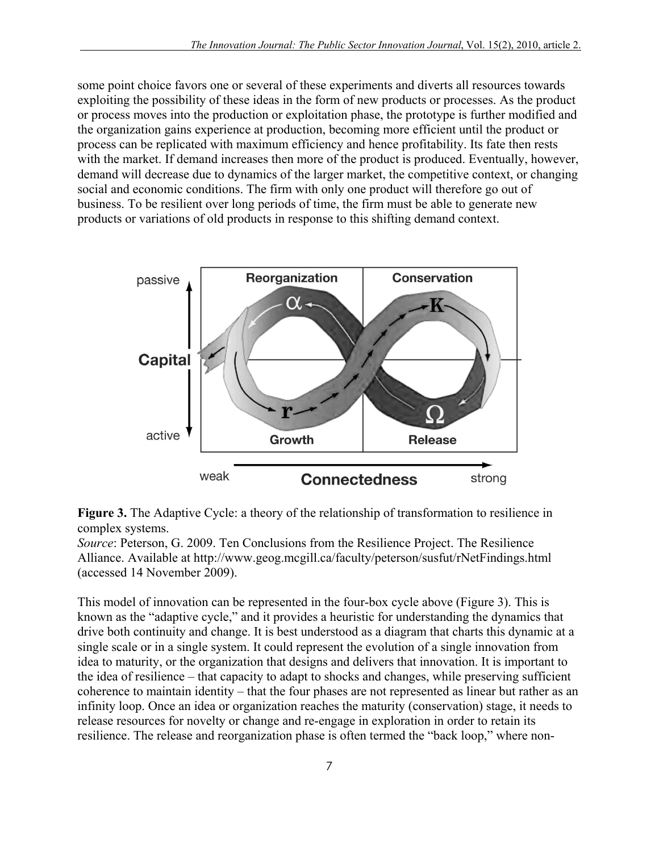some point choice favors one or several of these experiments and diverts all resources towards exploiting the possibility of these ideas in the form of new products or processes. As the product or process moves into the production or exploitation phase, the prototype is further modified and the organization gains experience at production, becoming more efficient until the product or process can be replicated with maximum efficiency and hence profitability. Its fate then rests with the market. If demand increases then more of the product is produced. Eventually, however, demand will decrease due to dynamics of the larger market, the competitive context, or changing social and economic conditions. The firm with only one product will therefore go out of business. To be resilient over long periods of time, the firm must be able to generate new products or variations of old products in response to this shifting demand context.





*Source*: Peterson, G. 2009. Ten Conclusions from the Resilience Project. The Resilience Alliance. Available at http://www.geog.mcgill.ca/faculty/peterson/susfut/rNetFindings.html (accessed 14 November 2009).

This model of innovation can be represented in the four-box cycle above (Figure 3). This is known as the "adaptive cycle," and it provides a heuristic for understanding the dynamics that drive both continuity and change. It is best understood as a diagram that charts this dynamic at a single scale or in a single system. It could represent the evolution of a single innovation from idea to maturity, or the organization that designs and delivers that innovation. It is important to the idea of resilience – that capacity to adapt to shocks and changes, while preserving sufficient coherence to maintain identity – that the four phases are not represented as linear but rather as an infinity loop. Once an idea or organization reaches the maturity (conservation) stage, it needs to release resources for novelty or change and re-engage in exploration in order to retain its resilience. The release and reorganization phase is often termed the "back loop," where non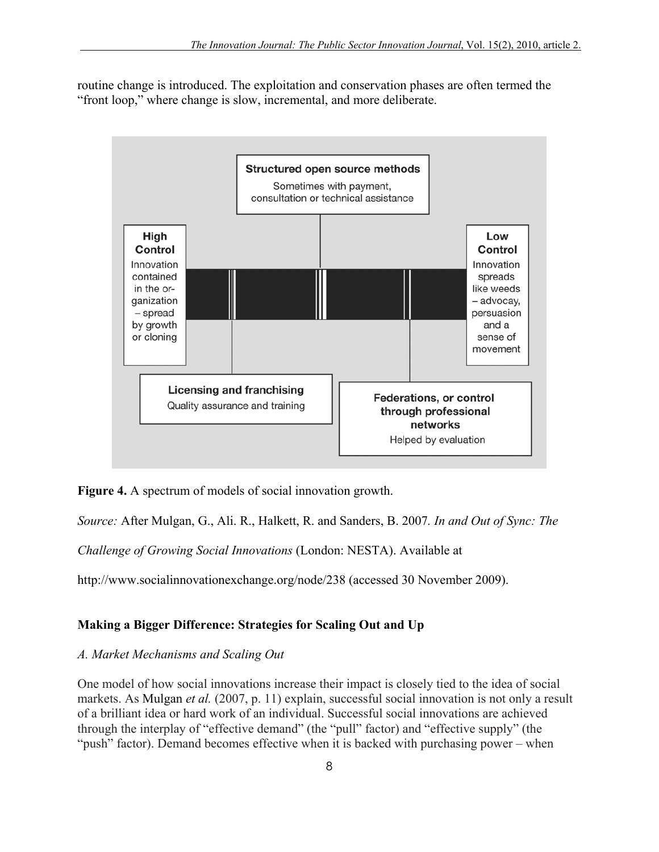routine change is introduced. The exploitation and conservation phases are often termed the "front loop," where change is slow, incremental, and more deliberate.



**Figure 4.** A spectrum of models of social innovation growth.

*Source:* After Mulgan, G., Ali. R., Halkett, R. and Sanders, B. 2007*. In and Out of Sync: The* 

*Challenge of Growing Social Innovations* (London: NESTA). Available at

http://www.socialinnovationexchange.org/node/238 (accessed 30 November 2009).

### **Making a Bigger Difference: Strategies for Scaling Out and Up**

#### *A. Market Mechanisms and Scaling Out*

One model of how social innovations increase their impact is closely tied to the idea of social markets. As Mulgan *et al.* (2007, p. 11) explain, successful social innovation is not only a result of a brilliant idea or hard work of an individual. Successful social innovations are achieved through the interplay of "effective demand" (the "pull" factor) and "effective supply" (the "push" factor). Demand becomes effective when it is backed with purchasing power – when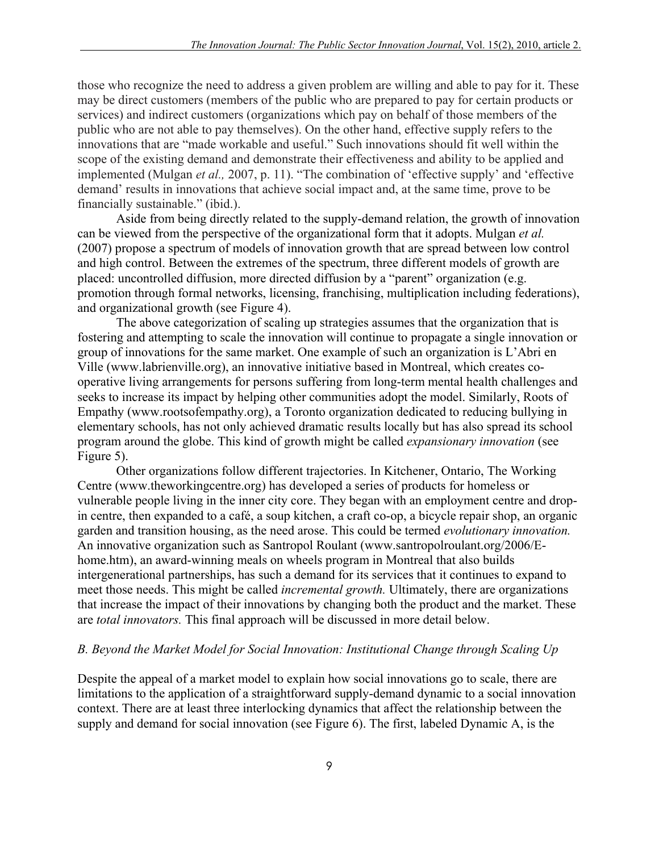those who recognize the need to address a given problem are willing and able to pay for it. These may be direct customers (members of the public who are prepared to pay for certain products or services) and indirect customers (organizations which pay on behalf of those members of the public who are not able to pay themselves). On the other hand, effective supply refers to the innovations that are "made workable and useful." Such innovations should fit well within the scope of the existing demand and demonstrate their effectiveness and ability to be applied and implemented (Mulgan *et al.,* 2007, p. 11). "The combination of 'effective supply' and 'effective demand' results in innovations that achieve social impact and, at the same time, prove to be financially sustainable." (ibid.).

Aside from being directly related to the supply-demand relation, the growth of innovation can be viewed from the perspective of the organizational form that it adopts. Mulgan *et al.* (2007) propose a spectrum of models of innovation growth that are spread between low control and high control. Between the extremes of the spectrum, three different models of growth are placed: uncontrolled diffusion, more directed diffusion by a "parent" organization (e.g. promotion through formal networks, licensing, franchising, multiplication including federations), and organizational growth (see Figure 4).

The above categorization of scaling up strategies assumes that the organization that is fostering and attempting to scale the innovation will continue to propagate a single innovation or group of innovations for the same market. One example of such an organization is L'Abri en Ville (www.labrienville.org), an innovative initiative based in Montreal, which creates cooperative living arrangements for persons suffering from long-term mental health challenges and seeks to increase its impact by helping other communities adopt the model. Similarly, Roots of Empathy (www.rootsofempathy.org), a Toronto organization dedicated to reducing bullying in elementary schools, has not only achieved dramatic results locally but has also spread its school program around the globe. This kind of growth might be called *expansionary innovation* (see Figure 5).

Other organizations follow different trajectories. In Kitchener, Ontario, The Working Centre (www.theworkingcentre.org) has developed a series of products for homeless or vulnerable people living in the inner city core. They began with an employment centre and dropin centre, then expanded to a café, a soup kitchen, a craft co-op, a bicycle repair shop, an organic garden and transition housing, as the need arose. This could be termed *evolutionary innovation.* An innovative organization such as Santropol Roulant (www.santropolroulant.org/2006/Ehome.htm), an award-winning meals on wheels program in Montreal that also builds intergenerational partnerships, has such a demand for its services that it continues to expand to meet those needs. This might be called *incremental growth.* Ultimately, there are organizations that increase the impact of their innovations by changing both the product and the market. These are *total innovators.* This final approach will be discussed in more detail below.

#### *B. Beyond the Market Model for Social Innovation: Institutional Change through Scaling Up*

Despite the appeal of a market model to explain how social innovations go to scale, there are limitations to the application of a straightforward supply-demand dynamic to a social innovation context. There are at least three interlocking dynamics that affect the relationship between the supply and demand for social innovation (see Figure 6). The first, labeled Dynamic A, is the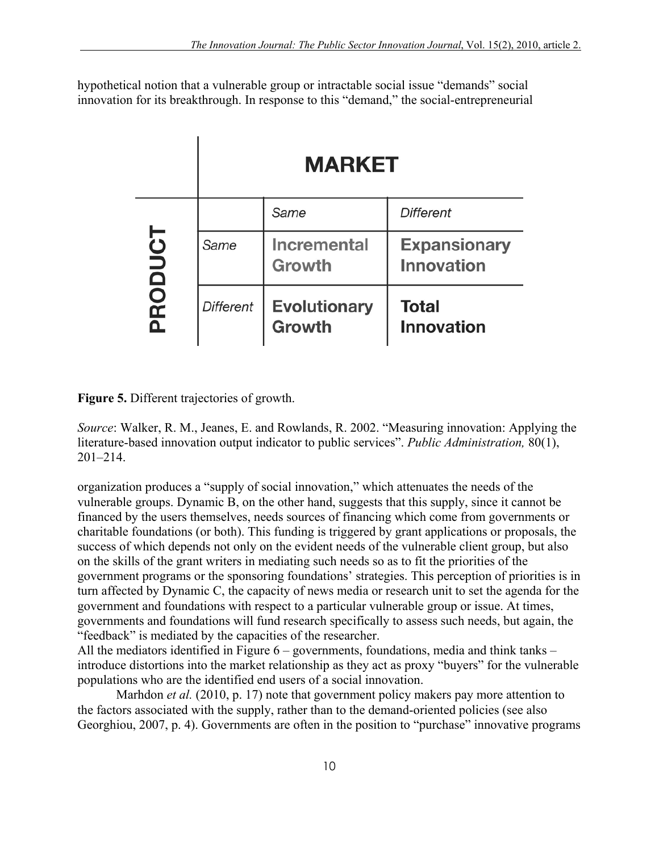hypothetical notion that a vulnerable group or intractable social issue "demands" social innovation for its breakthrough. In response to this "demand," the social-entrepreneurial

|         | <b>MARKET</b>    |                               |                                          |
|---------|------------------|-------------------------------|------------------------------------------|
| PRODUCT |                  | Same                          | <b>Different</b>                         |
|         | Same             | <b>Incremental</b><br>Growth  | <b>Expansionary</b><br><b>Innovation</b> |
|         | <b>Different</b> | <b>Evolutionary</b><br>Growth | <b>Total</b><br><b>Innovation</b>        |

**Figure 5.** Different trajectories of growth.

*Source*: Walker, R. M., Jeanes, E. and Rowlands, R. 2002. "Measuring innovation: Applying the literature-based innovation output indicator to public services". *Public Administration,* 80(1), 201–214.

organization produces a "supply of social innovation," which attenuates the needs of the vulnerable groups. Dynamic B, on the other hand, suggests that this supply, since it cannot be financed by the users themselves, needs sources of financing which come from governments or charitable foundations (or both). This funding is triggered by grant applications or proposals, the success of which depends not only on the evident needs of the vulnerable client group, but also on the skills of the grant writers in mediating such needs so as to fit the priorities of the government programs or the sponsoring foundations' strategies. This perception of priorities is in turn affected by Dynamic C, the capacity of news media or research unit to set the agenda for the government and foundations with respect to a particular vulnerable group or issue. At times, governments and foundations will fund research specifically to assess such needs, but again, the "feedback" is mediated by the capacities of the researcher.

All the mediators identified in Figure 6 – governments, foundations, media and think tanks – introduce distortions into the market relationship as they act as proxy "buyers" for the vulnerable populations who are the identified end users of a social innovation.

Marhdon *et al.* (2010, p. 17) note that government policy makers pay more attention to the factors associated with the supply, rather than to the demand-oriented policies (see also Georghiou, 2007, p. 4). Governments are often in the position to "purchase" innovative programs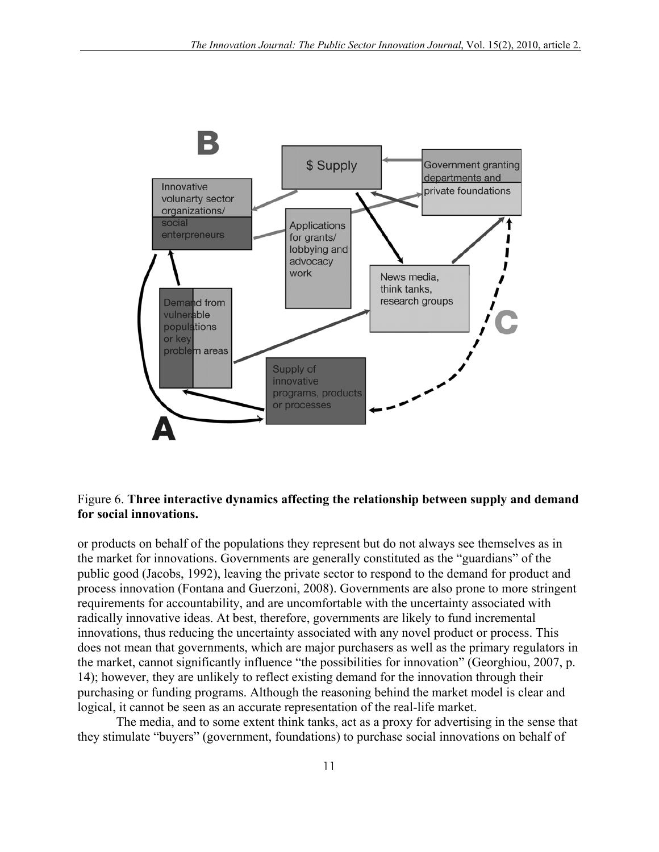

# Figure 6. **Three interactive dynamics affecting the relationship between supply and demand for social innovations.**

or products on behalf of the populations they represent but do not always see themselves as in the market for innovations. Governments are generally constituted as the "guardians" of the public good (Jacobs, 1992), leaving the private sector to respond to the demand for product and process innovation (Fontana and Guerzoni, 2008). Governments are also prone to more stringent requirements for accountability, and are uncomfortable with the uncertainty associated with radically innovative ideas. At best, therefore, governments are likely to fund incremental innovations, thus reducing the uncertainty associated with any novel product or process. This does not mean that governments, which are major purchasers as well as the primary regulators in the market, cannot significantly influence "the possibilities for innovation" (Georghiou, 2007, p. 14); however, they are unlikely to reflect existing demand for the innovation through their purchasing or funding programs. Although the reasoning behind the market model is clear and logical, it cannot be seen as an accurate representation of the real-life market.

The media, and to some extent think tanks, act as a proxy for advertising in the sense that they stimulate "buyers" (government, foundations) to purchase social innovations on behalf of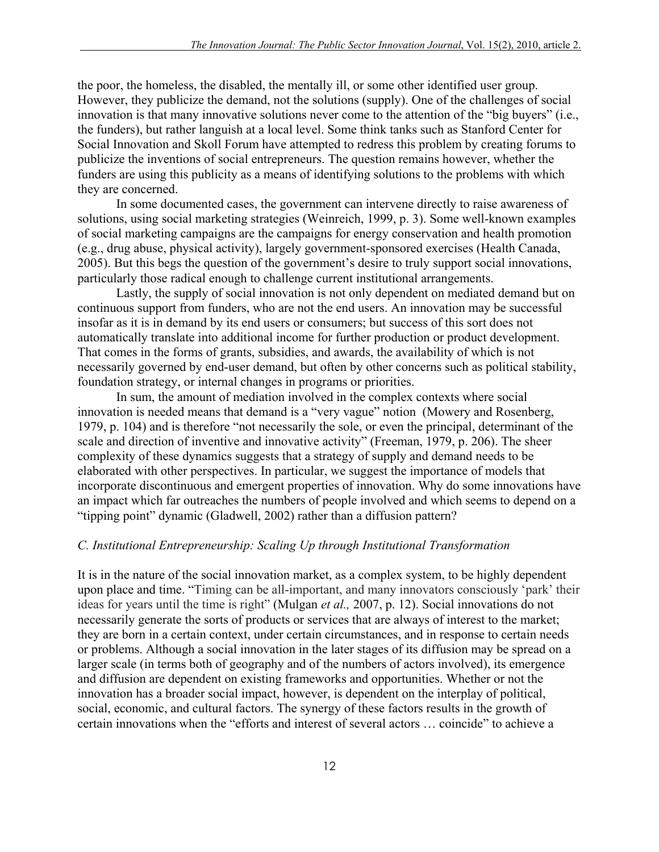the poor, the homeless, the disabled, the mentally ill, or some other identified user group. However, they publicize the demand, not the solutions (supply). One of the challenges of social innovation is that many innovative solutions never come to the attention of the "big buyers" (i.e., the funders), but rather languish at a local level. Some think tanks such as Stanford Center for Social Innovation and Skoll Forum have attempted to redress this problem by creating forums to publicize the inventions of social entrepreneurs. The question remains however, whether the funders are using this publicity as a means of identifying solutions to the problems with which they are concerned.

In some documented cases, the government can intervene directly to raise awareness of solutions, using social marketing strategies (Weinreich, 1999, p. 3). Some well-known examples of social marketing campaigns are the campaigns for energy conservation and health promotion (e.g., drug abuse, physical activity), largely government-sponsored exercises (Health Canada, 2005). But this begs the question of the government's desire to truly support social innovations, particularly those radical enough to challenge current institutional arrangements.

Lastly, the supply of social innovation is not only dependent on mediated demand but on continuous support from funders, who are not the end users. An innovation may be successful insofar as it is in demand by its end users or consumers; but success of this sort does not automatically translate into additional income for further production or product development. That comes in the forms of grants, subsidies, and awards, the availability of which is not necessarily governed by end-user demand, but often by other concerns such as political stability, foundation strategy, or internal changes in programs or priorities.

In sum, the amount of mediation involved in the complex contexts where social innovation is needed means that demand is a "very vague" notion (Mowery and Rosenberg, 1979, p. 104) and is therefore "not necessarily the sole, or even the principal, determinant of the scale and direction of inventive and innovative activity" (Freeman, 1979, p. 206). The sheer complexity of these dynamics suggests that a strategy of supply and demand needs to be elaborated with other perspectives. In particular, we suggest the importance of models that incorporate discontinuous and emergent properties of innovation. Why do some innovations have an impact which far outreaches the numbers of people involved and which seems to depend on a "tipping point" dynamic (Gladwell, 2002) rather than a diffusion pattern?

# *C. Institutional Entrepreneurship: Scaling Up through Institutional Transformation*

It is in the nature of the social innovation market, as a complex system, to be highly dependent upon place and time. "Timing can be all-important, and many innovators consciously 'park' their ideas for years until the time is right" (Mulgan *et al.,* 2007, p. 12). Social innovations do not necessarily generate the sorts of products or services that are always of interest to the market; they are born in a certain context, under certain circumstances, and in response to certain needs or problems. Although a social innovation in the later stages of its diffusion may be spread on a larger scale (in terms both of geography and of the numbers of actors involved), its emergence and diffusion are dependent on existing frameworks and opportunities. Whether or not the innovation has a broader social impact, however, is dependent on the interplay of political, social, economic, and cultural factors. The synergy of these factors results in the growth of certain innovations when the "efforts and interest of several actors … coincide" to achieve a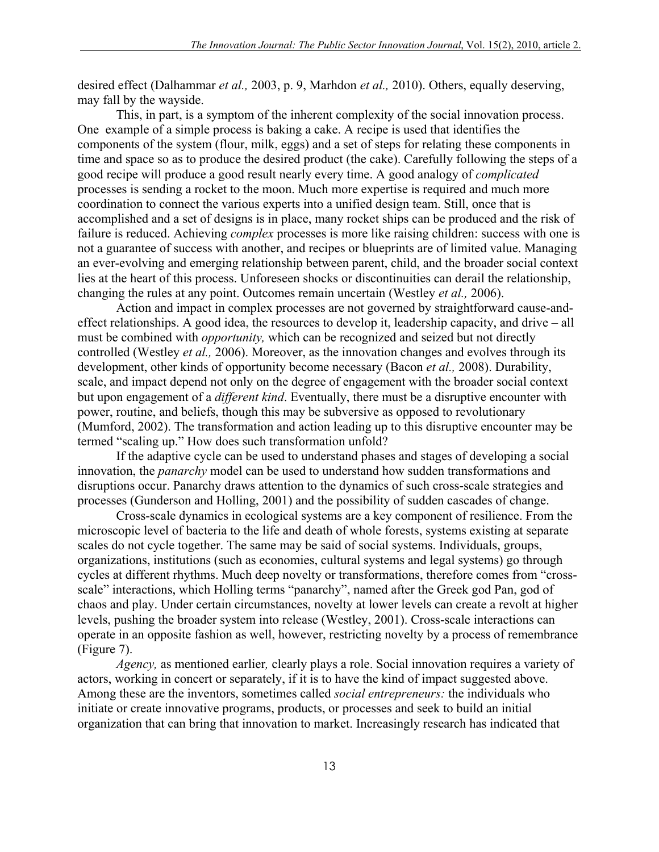desired effect (Dalhammar *et al.,* 2003, p. 9, Marhdon *et al.,* 2010). Others, equally deserving, may fall by the wayside.

This, in part, is a symptom of the inherent complexity of the social innovation process. One example of a simple process is baking a cake. A recipe is used that identifies the components of the system (flour, milk, eggs) and a set of steps for relating these components in time and space so as to produce the desired product (the cake). Carefully following the steps of a good recipe will produce a good result nearly every time. A good analogy of *complicated*  processes is sending a rocket to the moon. Much more expertise is required and much more coordination to connect the various experts into a unified design team. Still, once that is accomplished and a set of designs is in place, many rocket ships can be produced and the risk of failure is reduced. Achieving *complex* processes is more like raising children: success with one is not a guarantee of success with another, and recipes or blueprints are of limited value. Managing an ever-evolving and emerging relationship between parent, child, and the broader social context lies at the heart of this process. Unforeseen shocks or discontinuities can derail the relationship, changing the rules at any point. Outcomes remain uncertain (Westley *et al.,* 2006).

Action and impact in complex processes are not governed by straightforward cause-andeffect relationships. A good idea, the resources to develop it, leadership capacity, and drive – all must be combined with *opportunity,* which can be recognized and seized but not directly controlled (Westley *et al.,* 2006). Moreover, as the innovation changes and evolves through its development, other kinds of opportunity become necessary (Bacon *et al.,* 2008). Durability, scale, and impact depend not only on the degree of engagement with the broader social context but upon engagement of a *different kind*. Eventually, there must be a disruptive encounter with power, routine, and beliefs, though this may be subversive as opposed to revolutionary (Mumford, 2002). The transformation and action leading up to this disruptive encounter may be termed "scaling up." How does such transformation unfold?

If the adaptive cycle can be used to understand phases and stages of developing a social innovation, the *panarchy* model can be used to understand how sudden transformations and disruptions occur. Panarchy draws attention to the dynamics of such cross-scale strategies and processes (Gunderson and Holling, 2001) and the possibility of sudden cascades of change.

Cross-scale dynamics in ecological systems are a key component of resilience. From the microscopic level of bacteria to the life and death of whole forests, systems existing at separate scales do not cycle together. The same may be said of social systems. Individuals, groups, organizations, institutions (such as economies, cultural systems and legal systems) go through cycles at different rhythms. Much deep novelty or transformations, therefore comes from "crossscale" interactions, which Holling terms "panarchy", named after the Greek god Pan, god of chaos and play. Under certain circumstances, novelty at lower levels can create a revolt at higher levels, pushing the broader system into release (Westley, 2001). Cross-scale interactions can operate in an opposite fashion as well, however, restricting novelty by a process of remembrance (Figure 7).

*Agency,* as mentioned earlier*,* clearly plays a role. Social innovation requires a variety of actors, working in concert or separately, if it is to have the kind of impact suggested above. Among these are the inventors, sometimes called *social entrepreneurs:* the individuals who initiate or create innovative programs, products, or processes and seek to build an initial organization that can bring that innovation to market. Increasingly research has indicated that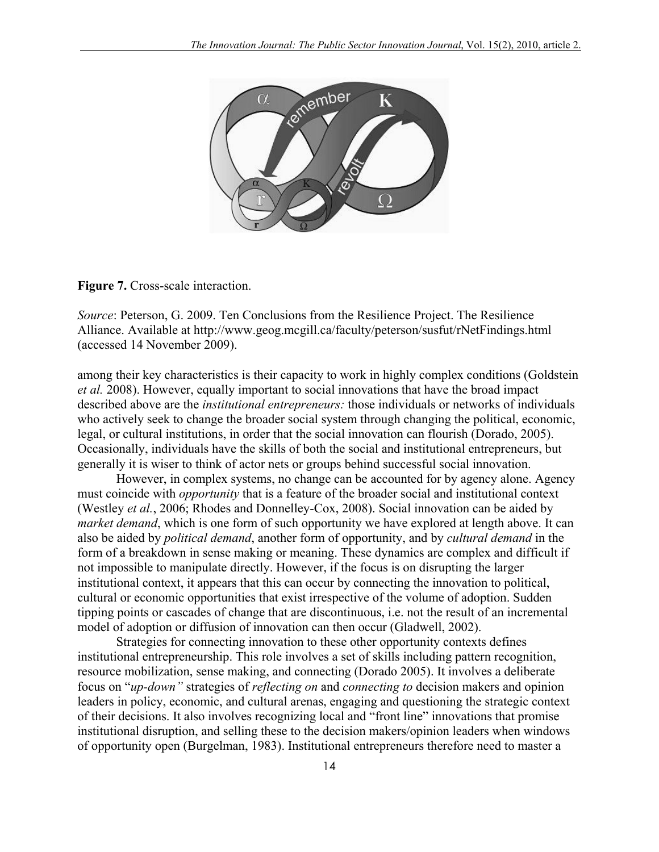

#### **Figure 7.** Cross-scale interaction.

*Source*: Peterson, G. 2009. Ten Conclusions from the Resilience Project. The Resilience Alliance. Available at http://www.geog.mcgill.ca/faculty/peterson/susfut/rNetFindings.html (accessed 14 November 2009).

among their key characteristics is their capacity to work in highly complex conditions (Goldstein *et al.* 2008). However, equally important to social innovations that have the broad impact described above are the *institutional entrepreneurs:* those individuals or networks of individuals who actively seek to change the broader social system through changing the political, economic, legal, or cultural institutions, in order that the social innovation can flourish (Dorado, 2005). Occasionally, individuals have the skills of both the social and institutional entrepreneurs, but generally it is wiser to think of actor nets or groups behind successful social innovation.

However, in complex systems, no change can be accounted for by agency alone. Agency must coincide with *opportunity* that is a feature of the broader social and institutional context (Westley *et al.*, 2006; Rhodes and Donnelley-Cox, 2008). Social innovation can be aided by *market demand*, which is one form of such opportunity we have explored at length above. It can also be aided by *political demand*, another form of opportunity, and by *cultural demand* in the form of a breakdown in sense making or meaning. These dynamics are complex and difficult if not impossible to manipulate directly. However, if the focus is on disrupting the larger institutional context, it appears that this can occur by connecting the innovation to political, cultural or economic opportunities that exist irrespective of the volume of adoption. Sudden tipping points or cascades of change that are discontinuous, i.e. not the result of an incremental model of adoption or diffusion of innovation can then occur (Gladwell, 2002).

Strategies for connecting innovation to these other opportunity contexts defines institutional entrepreneurship. This role involves a set of skills including pattern recognition, resource mobilization, sense making, and connecting (Dorado 2005). It involves a deliberate focus on "*up-down"* strategies of *reflecting on* and *connecting to* decision makers and opinion leaders in policy, economic, and cultural arenas, engaging and questioning the strategic context of their decisions. It also involves recognizing local and "front line" innovations that promise institutional disruption, and selling these to the decision makers/opinion leaders when windows of opportunity open (Burgelman, 1983). Institutional entrepreneurs therefore need to master a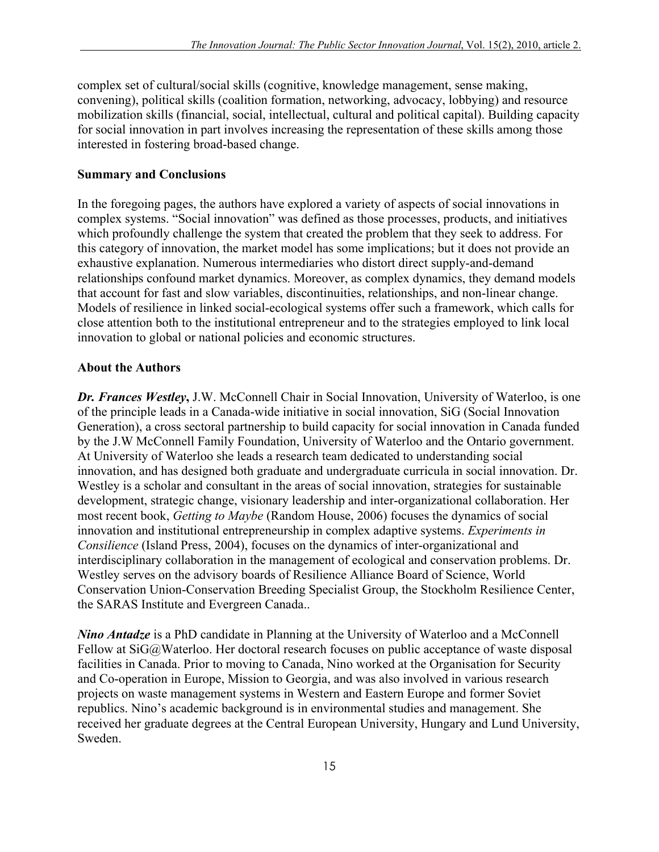complex set of cultural/social skills (cognitive, knowledge management, sense making, convening), political skills (coalition formation, networking, advocacy, lobbying) and resource mobilization skills (financial, social, intellectual, cultural and political capital). Building capacity for social innovation in part involves increasing the representation of these skills among those interested in fostering broad-based change.

# **Summary and Conclusions**

In the foregoing pages, the authors have explored a variety of aspects of social innovations in complex systems. "Social innovation" was defined as those processes, products, and initiatives which profoundly challenge the system that created the problem that they seek to address. For this category of innovation, the market model has some implications; but it does not provide an exhaustive explanation. Numerous intermediaries who distort direct supply-and-demand relationships confound market dynamics. Moreover, as complex dynamics, they demand models that account for fast and slow variables, discontinuities, relationships, and non-linear change. Models of resilience in linked social-ecological systems offer such a framework, which calls for close attention both to the institutional entrepreneur and to the strategies employed to link local innovation to global or national policies and economic structures.

# **About the Authors**

*Dr. Frances Westley***,** J.W. McConnell Chair in Social Innovation, University of Waterloo, is one of the principle leads in a Canada-wide initiative in social innovation, SiG (Social Innovation Generation), a cross sectoral partnership to build capacity for social innovation in Canada funded by the J.W McConnell Family Foundation, University of Waterloo and the Ontario government. At University of Waterloo she leads a research team dedicated to understanding social innovation, and has designed both graduate and undergraduate curricula in social innovation. Dr. Westley is a scholar and consultant in the areas of social innovation, strategies for sustainable development, strategic change, visionary leadership and inter-organizational collaboration. Her most recent book, *Getting to Maybe* (Random House, 2006) focuses the dynamics of social innovation and institutional entrepreneurship in complex adaptive systems. *Experiments in Consilience* (Island Press, 2004), focuses on the dynamics of inter-organizational and interdisciplinary collaboration in the management of ecological and conservation problems. Dr. Westley serves on the advisory boards of Resilience Alliance Board of Science, World Conservation Union-Conservation Breeding Specialist Group, the Stockholm Resilience Center, the SARAS Institute and Evergreen Canada..

*Nino Antadze* is a PhD candidate in Planning at the University of Waterloo and a McConnell Fellow at SiG@Waterloo. Her doctoral research focuses on public acceptance of waste disposal facilities in Canada. Prior to moving to Canada, Nino worked at the Organisation for Security and Co-operation in Europe, Mission to Georgia, and was also involved in various research projects on waste management systems in Western and Eastern Europe and former Soviet republics. Nino's academic background is in environmental studies and management. She received her graduate degrees at the Central European University, Hungary and Lund University, Sweden.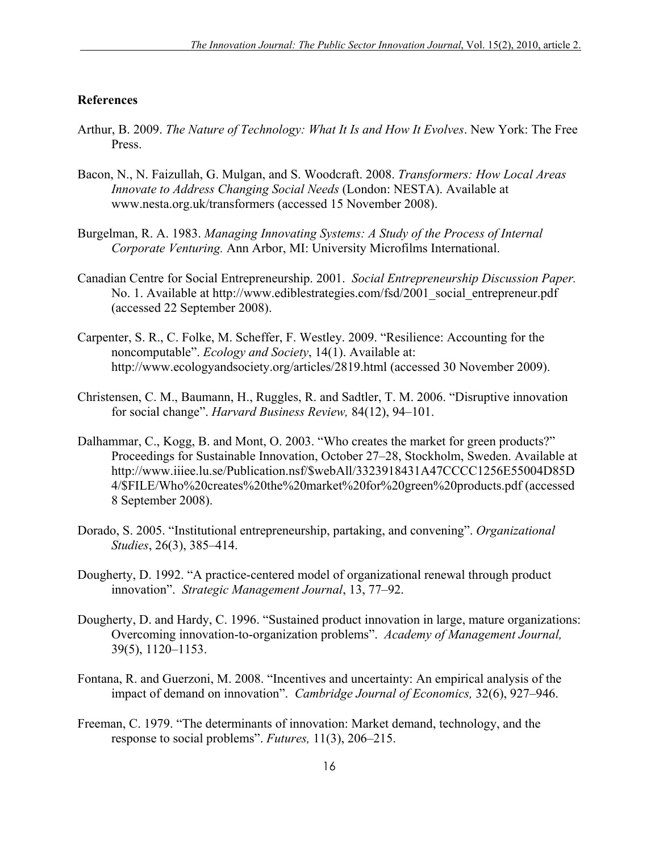#### **References**

- Arthur, B. 2009. *The Nature of Technology: What It Is and How It Evolves*. New York: The Free Press.
- Bacon, N., N. Faizullah, G. Mulgan, and S. Woodcraft. 2008. *Transformers: How Local Areas Innovate to Address Changing Social Needs* (London: NESTA). Available at www.nesta.org.uk/transformers (accessed 15 November 2008).
- Burgelman, R. A. 1983. *Managing Innovating Systems: A Study of the Process of Internal Corporate Venturing.* Ann Arbor, MI: University Microfilms International.
- Canadian Centre for Social Entrepreneurship. 2001. *Social Entrepreneurship Discussion Paper.* No. 1. Available at [http://www.ediblestrategies.com/fsd/2001\\_social\\_entrepreneur.pdf](http://www.ediblestrategies.com/fsd/2001_social_entrepreneur.pdf) (accessed 22 September 2008).
- Carpenter, S. R., C. Folke, M. Scheffer, F. Westley. 2009. "Resilience: Accounting for the noncomputable". *Ecology and Society*, 14(1). Available at: http://www.ecologyandsociety.org/articles/2819.html (accessed 30 November 2009).
- Christensen, C. M., Baumann, H., Ruggles, R. and Sadtler, T. M. 2006. "Disruptive innovation for social change". *Harvard Business Review,* 84(12), 94–101.
- Dalhammar, C., Kogg, B. and Mont, O. 2003. "Who creates the market for green products?" Proceedings for Sustainable Innovation, October 27–28, Stockholm, Sweden. Available at http://www.iiiee.lu.se/Publication.nsf/\$webAll/3323918431A47CCCC1256E55004D85D 4/\$FILE/Who%20creates%20the%20market%20for%20green%20products.pdf (accessed 8 September 2008).
- Dorado, S. 2005. "Institutional entrepreneurship, partaking, and convening". *Organizational Studies*, 26(3), 385–414.
- Dougherty, D. 1992. "A practice-centered model of organizational renewal through product innovation". *Strategic Management Journal*, 13, 77–92.
- Dougherty, D. and Hardy, C. 1996. "Sustained product innovation in large, mature organizations: Overcoming innovation-to-organization problems". *Academy of Management Journal,*  39(5), 1120–1153.
- Fontana, R. and Guerzoni, M. 2008. "Incentives and uncertainty: An empirical analysis of the impact of demand on innovation". *Cambridge Journal of Economics,* 32(6), 927–946.
- Freeman, C. 1979. "The determinants of innovation: Market demand, technology, and the response to social problems". *Futures,* 11(3), 206–215.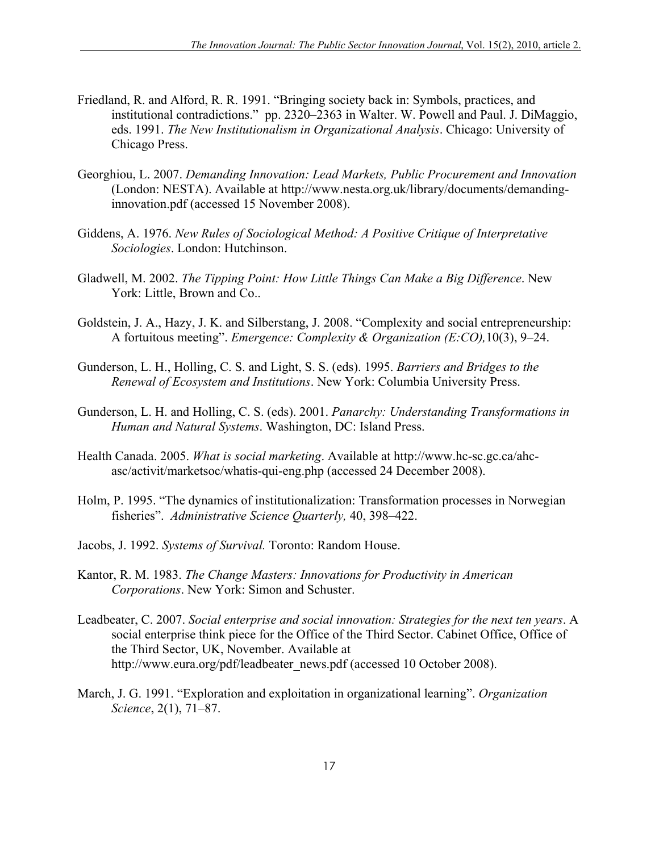- Friedland, R. and Alford, R. R. 1991. "Bringing society back in: Symbols, practices, and institutional contradictions." pp. 2320–2363 in Walter. W. Powell and Paul. J. DiMaggio, eds. 1991. *The New Institutionalism in Organizational Analysis*. Chicago: University of Chicago Press.
- Georghiou, L. 2007. *Demanding Innovation: Lead Markets, Public Procurement and Innovation* (London: NESTA). Available at http://www.nesta.org.uk/library/documents/demandinginnovation.pdf (accessed 15 November 2008).
- Giddens, A. 1976. *New Rules of Sociological Method: A Positive Critique of Interpretative Sociologies*. London: Hutchinson.
- Gladwell, M. 2002. *The Tipping Point: How Little Things Can Make a Big Difference*. New York: Little, Brown and Co..
- Goldstein, J. A., Hazy, J. K. and Silberstang, J. 2008. "Complexity and social entrepreneurship: A fortuitous meeting". *Emergence: Complexity & Organization (E:CO),*10(3), 9–24.
- Gunderson, L. H., Holling, C. S. and Light, S. S. (eds). 1995. *Barriers and Bridges to the Renewal of Ecosystem and Institutions*. New York: Columbia University Press.
- Gunderson, L. H. and Holling, C. S. (eds). 2001. *Panarchy: Understanding Transformations in Human and Natural Systems*. Washington, DC: Island Press.
- Health Canada. 2005. *What is social marketing*. Available at http://www.hc-sc.gc.ca/ahcasc/activit/marketsoc/whatis-qui-eng.php (accessed 24 December 2008).
- Holm, P. 1995. "The dynamics of institutionalization: Transformation processes in Norwegian fisheries". *Administrative Science Quarterly,* 40, 398–422.
- Jacobs, J. 1992. *Systems of Survival.* Toronto: Random House.
- Kantor, R. M. 1983. *The Change Masters: Innovations for Productivity in American Corporations*. New York: Simon and Schuster.
- Leadbeater, C. 2007. *Social enterprise and social innovation: Strategies for the next ten years*. A social enterprise think piece for the Office of the Third Sector. Cabinet Office, Office of the Third Sector, UK, November. Available at http://www.eura.org/pdf/leadbeater\_news.pdf (accessed 10 October 2008).
- March, J. G. 1991. "Exploration and exploitation in organizational learning". *Organization Science*, 2(1), 71–87.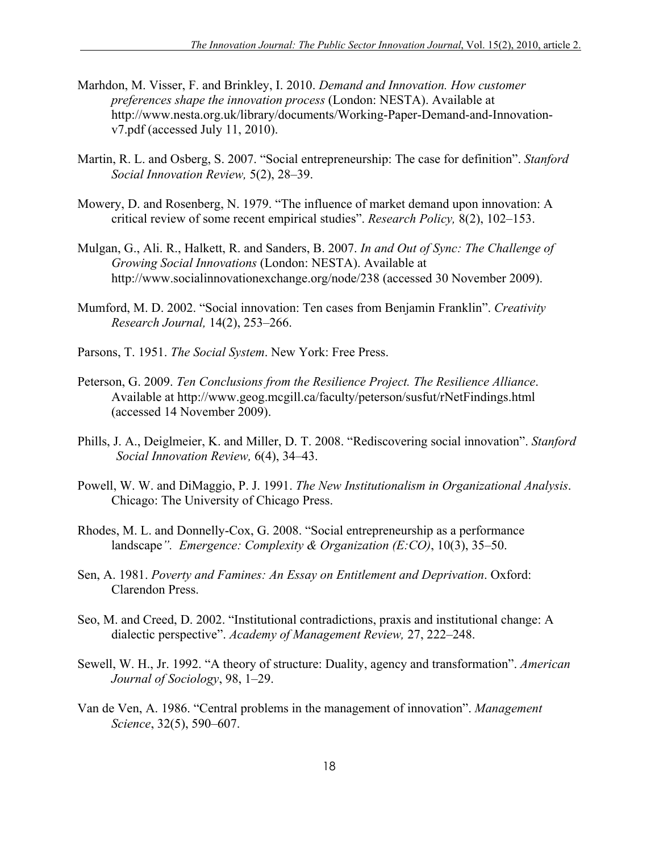- Marhdon, M. Visser, F. and Brinkley, I. 2010. *Demand and Innovation. How customer preferences shape the innovation process* (London: NESTA). Available at http://www.nesta.org.uk/library/documents/Working-Paper-Demand-and-Innovationv7.pdf (accessed July 11, 2010).
- Martin, R. L. and Osberg, S. 2007. "Social entrepreneurship: The case for definition". *Stanford Social Innovation Review,* 5(2), 28–39.
- Mowery, D. and Rosenberg, N. 1979. "The influence of market demand upon innovation: A critical review of some recent empirical studies". *Research Policy,* 8(2), 102–153.
- Mulgan, G., Ali. R., Halkett, R. and Sanders, B. 2007. *In and Out of Sync: The Challenge of Growing Social Innovations* (London: NESTA). Available at http://www.socialinnovationexchange.org/node/238 (accessed 30 November 2009).
- Mumford, M. D. 2002. "Social innovation: Ten cases from Benjamin Franklin". *Creativity Research Journal,* 14(2), 253–266.
- Parsons, T. 1951. *The Social System*. New York: Free Press.
- Peterson, G. 2009. *Ten Conclusions from the Resilience Project. The Resilience Alliance*. Available at http://www.geog.mcgill.ca/faculty/peterson/susfut/rNetFindings.html (accessed 14 November 2009).
- Phills, J. A., Deiglmeier, K. and Miller, D. T. 2008. "Rediscovering social innovation". *Stanford Social Innovation Review,* 6(4), 34–43.
- Powell, W. W. and DiMaggio, P. J. 1991. *The New Institutionalism in Organizational Analysis*. Chicago: The University of Chicago Press.
- Rhodes, M. L. and Donnelly-Cox, G. 2008. "Social entrepreneurship as a performance landscape*". Emergence: Complexity & Organization (E:CO)*, 10(3), 35–50.
- Sen, A. 1981. *Poverty and Famines: An Essay on Entitlement and Deprivation*. Oxford: Clarendon Press.
- Seo, M. and Creed, D. 2002. "Institutional contradictions, praxis and institutional change: A dialectic perspective". *Academy of Management Review,* 27, 222–248.
- Sewell, W. H., Jr. 1992. "A theory of structure: Duality, agency and transformation". *American Journal of Sociology*, 98, 1–29.
- Van de Ven, A. 1986. "Central problems in the management of innovation". *Management Science*, 32(5), 590–607.